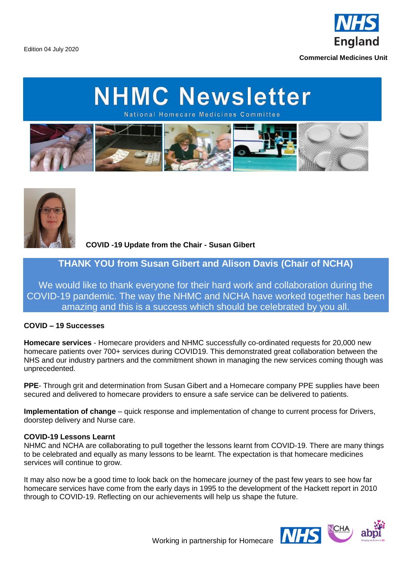England

**Commercial Medicines Unit**

Edition 04 July 2020

## **NHMC Newsletter**

National Homecare Medicines Committee





**COVID -19 Update from the Chair - Susan Gibert** 

### **THANK YOU from Susan Gibert and Alison Davis (Chair of NCHA)**

We would like to thank everyone for their hard work and collaboration during the COVID-19 pandemic. The way the NHMC and NCHA have worked together has been amazing and this is a success which should be celebrated by you all.

### **COVID – 19 Successes**

**Homecare services** - Homecare providers and NHMC successfully co-ordinated requests for 20,000 new homecare patients over 700+ services during COVID19. This demonstrated great collaboration between the NHS and our industry partners and the commitment shown in managing the new services coming though was unprecedented.

**PPE**- Through grit and determination from Susan Gibert and a Homecare company PPE supplies have been secured and delivered to homecare providers to ensure a safe service can be delivered to patients.

**Implementation of change** – quick response and implementation of change to current process for Drivers, doorstep delivery and Nurse care.

### **COVID-19 Lessons Learnt**

NHMC and NCHA are collaborating to pull together the lessons learnt from COVID-19. There are many things to be celebrated and equally as many lessons to be learnt. The expectation is that homecare medicines services will continue to grow.

It may also now be a good time to look back on the homecare journey of the past few years to see how far homecare services have come from the early days in 1995 to the development of the Hackett report in 2010 through to COVID-19. Reflecting on our achievements will help us shape the future.

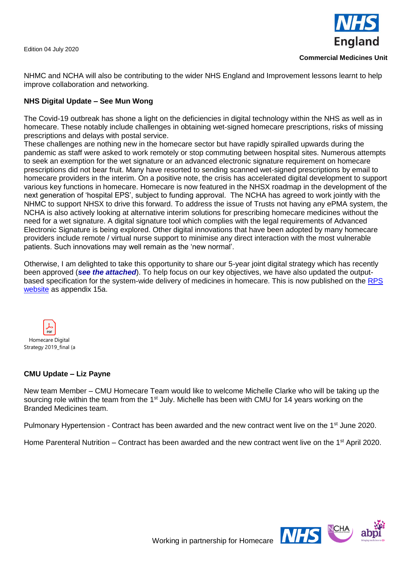Edition 04 July 2020



NHMC and NCHA will also be contributing to the wider NHS England and Improvement lessons learnt to help improve collaboration and networking.

### **NHS Digital Update – See Mun Wong**

The Covid-19 outbreak has shone a light on the deficiencies in digital technology within the NHS as well as in homecare. These notably include challenges in obtaining wet-signed homecare prescriptions, risks of missing prescriptions and delays with postal service.

These challenges are nothing new in the homecare sector but have rapidly spiralled upwards during the pandemic as staff were asked to work remotely or stop commuting between hospital sites. Numerous attempts to seek an exemption for the wet signature or an advanced electronic signature requirement on homecare prescriptions did not bear fruit. Many have resorted to sending scanned wet-signed prescriptions by email to homecare providers in the interim. On a positive note, the crisis has accelerated digital development to support various key functions in homecare. Homecare is now featured in the NHSX roadmap in the development of the next generation of 'hospital EPS', subject to funding approval. The NCHA has agreed to work jointly with the NHMC to support NHSX to drive this forward. To address the issue of Trusts not having any ePMA system, the NCHA is also actively looking at alternative interim solutions for prescribing homecare medicines without the need for a wet signature. A digital signature tool which complies with the legal requirements of Advanced Electronic Signature is being explored. Other digital innovations that have been adopted by many homecare providers include remote / virtual nurse support to minimise any direct interaction with the most vulnerable patients. Such innovations may well remain as the 'new normal'.

Otherwise, I am delighted to take this opportunity to share our 5-year joint digital strategy which has recently been approved (*see the attached*). To help focus on our key objectives, we have also updated the outputbased specification for the system-wide delivery of medicines in homecare. This is now published on the [RPS](https://www.rpharms.com/recognition/setting-professional-standards/professional-standards-for-homecare-services/homecare-handbook-appendices)  [website](https://www.rpharms.com/recognition/setting-professional-standards/professional-standards-for-homecare-services/homecare-handbook-appendices) as appendix 15a.



### **CMU Update – Liz Payne**

New team Member – CMU Homecare Team would like to welcome Michelle Clarke who will be taking up the sourcing role within the team from the  $1<sup>st</sup>$  July. Michelle has been with CMU for 14 years working on the Branded Medicines team.

Pulmonary Hypertension - Contract has been awarded and the new contract went live on the 1<sup>st</sup> June 2020.

Home Parenteral Nutrition – Contract has been awarded and the new contract went live on the 1<sup>st</sup> April 2020.

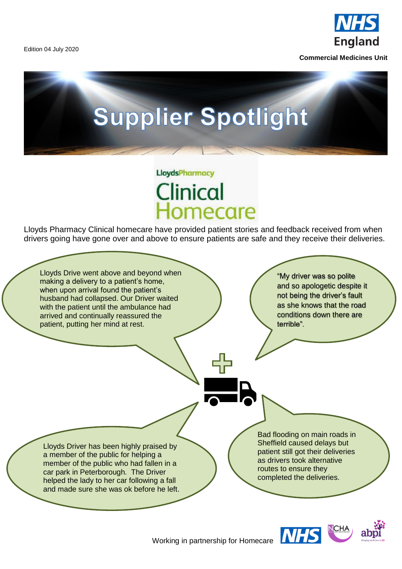Edition 04 July 2020



**Commercial Medicines Unit**

# **Supplier Spotlight**

### **LloydsPharmacy** Clinical Iomecare

Lloyds Pharmacy Clinical homecare have provided patient stories and feedback received from when drivers going have gone over and above to ensure patients are safe and they receive their deliveries.

Lloyds Drive went above and beyond when making a delivery to a patient's home, when upon arrival found the patient's husband had collapsed. Our Driver waited with the patient until the ambulance had arrived and continually reassured the patient, putting her mind at rest.

"My driver was so polite and so apologetic despite it not being the driver's fault as she knows that the road conditions down there are terrible".

Lloyds Driver has been highly praised by a member of the public for helping a member of the public who had fallen in a car park in Peterborough. The Driver helped the lady to her car following a fall and made sure she was ok before he left.

Bad flooding on main roads in Sheffield caused delays but patient still got their deliveries as drivers took alternative routes to ensure they completed the deliveries.